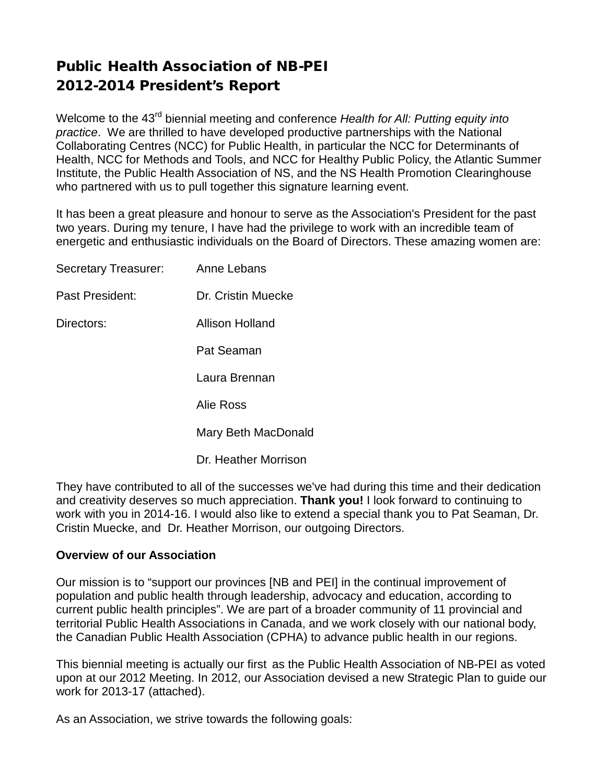# Public Health Association of NB-PEI 2012-2014 President's Report

Welcome to the 43rd biennial meeting and conference *Health for All: Putting equity into practice*. We are thrilled to have developed productive partnerships with the National Collaborating Centres (NCC) for Public Health, in particular the NCC for Determinants of Health, NCC for Methods and Tools, and NCC for Healthy Public Policy, the Atlantic Summer Institute, the Public Health Association of NS, and the NS Health Promotion Clearinghouse who partnered with us to pull together this signature learning event.

It has been a great pleasure and honour to serve as the Association's President for the past two years. During my tenure, I have had the privilege to work with an incredible team of energetic and enthusiastic individuals on the Board of Directors. These amazing women are:

| Secretary Treasurer: | Anne Lebans          |
|----------------------|----------------------|
| Past President:      | Dr. Cristin Muecke   |
| Directors:           | Allison Holland      |
|                      | Pat Seaman           |
|                      | Laura Brennan        |
|                      | Alie Ross            |
|                      | Mary Beth MacDonald  |
|                      | Dr. Heather Morrison |

They have contributed to all of the successes we've had during this time and their dedication and creativity deserves so much appreciation. **Thank you!** I look forward to continuing to work with you in 2014-16. I would also like to extend a special thank you to Pat Seaman, Dr. Cristin Muecke, and Dr. Heather Morrison, our outgoing Directors.

## **Overview of our Association**

Our mission is to "support our provinces [NB and PEI] in the continual improvement of population and public health through leadership, advocacy and education, according to current public health principles". We are part of a broader community of 11 provincial and territorial Public Health Associations in Canada, and we work closely with our national body, the Canadian Public Health Association (CPHA) to advance public health in our regions.

This biennial meeting is actually our first as the Public Health Association of NB-PEI as voted upon at our 2012 Meeting. In 2012, our Association devised a new Strategic Plan to guide our work for 2013-17 (attached).

As an Association, we strive towards the following goals: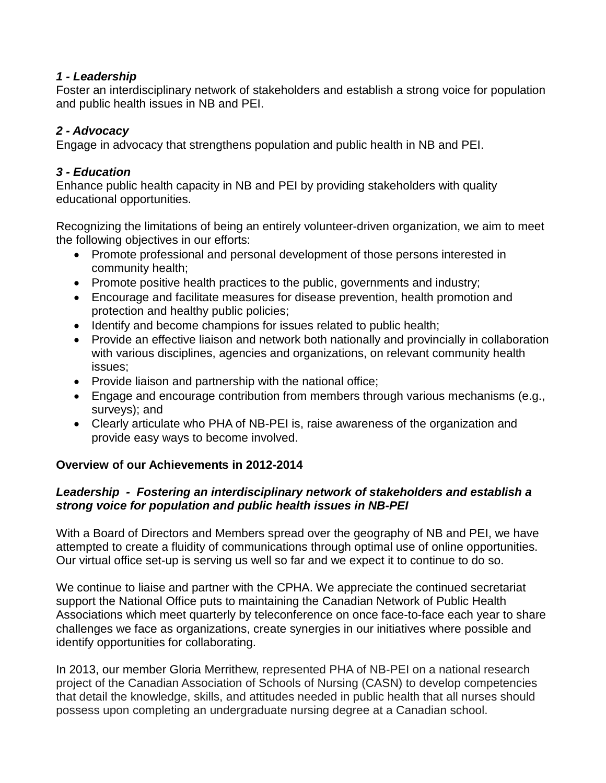#### *1 - Leadership*

Foster an interdisciplinary network of stakeholders and establish a strong voice for population and public health issues in NB and PEI.

## *2 - Advocacy*

Engage in advocacy that strengthens population and public health in NB and PEI.

## *3 - Education*

Enhance public health capacity in NB and PEI by providing stakeholders with quality educational opportunities.

Recognizing the limitations of being an entirely volunteer-driven organization, we aim to meet the following objectives in our efforts:

- Promote professional and personal development of those persons interested in community health;
- Promote positive health practices to the public, governments and industry;
- Encourage and facilitate measures for disease prevention, health promotion and protection and healthy public policies;
- Identify and become champions for issues related to public health;
- Provide an effective liaison and network both nationally and provincially in collaboration with various disciplines, agencies and organizations, on relevant community health issues;
- Provide liaison and partnership with the national office;
- Engage and encourage contribution from members through various mechanisms (e.g., surveys); and
- Clearly articulate who PHA of NB-PEI is, raise awareness of the organization and provide easy ways to become involved.

## **Overview of our Achievements in 2012-2014**

## *Leadership - Fostering an interdisciplinary network of stakeholders and establish a strong voice for population and public health issues in NB-PEI*

With a Board of Directors and Members spread over the geography of NB and PEI, we have attempted to create a fluidity of communications through optimal use of online opportunities. Our virtual office set-up is serving us well so far and we expect it to continue to do so.

We continue to liaise and partner with the CPHA. We appreciate the continued secretariat support the National Office puts to maintaining the Canadian Network of Public Health Associations which meet quarterly by teleconference on once face-to-face each year to share challenges we face as organizations, create synergies in our initiatives where possible and identify opportunities for collaborating.

In 2013, our member Gloria Merrithew, represented PHA of NB-PEI on a national research project of the Canadian Association of Schools of Nursing (CASN) to develop competencies that detail the knowledge, skills, and attitudes needed in public health that all nurses should possess upon completing an undergraduate nursing degree at a Canadian school.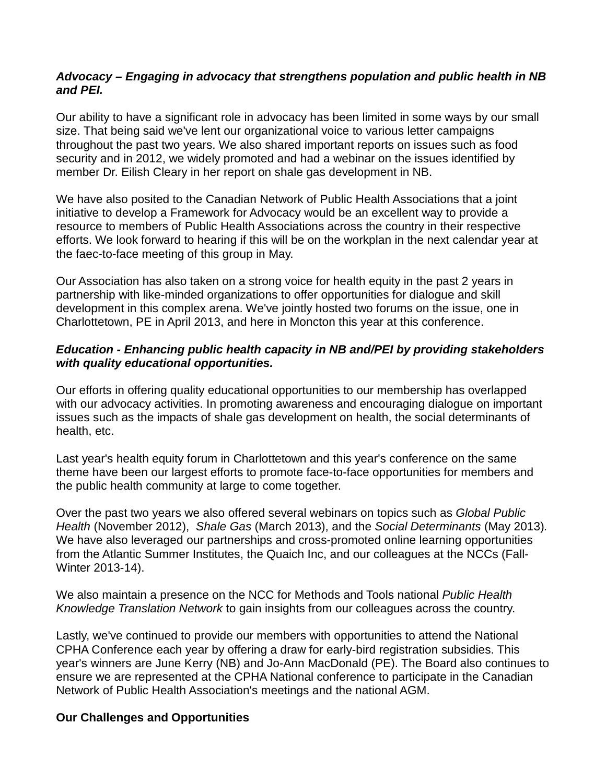#### *Advocacy – Engaging in advocacy that strengthens population and public health in NB and PEI.*

Our ability to have a significant role in advocacy has been limited in some ways by our small size. That being said we've lent our organizational voice to various letter campaigns throughout the past two years. We also shared important reports on issues such as food security and in 2012, we widely promoted and had a webinar on the issues identified by member Dr. Eilish Cleary in her report on shale gas development in NB.

We have also posited to the Canadian Network of Public Health Associations that a joint initiative to develop a Framework for Advocacy would be an excellent way to provide a resource to members of Public Health Associations across the country in their respective efforts. We look forward to hearing if this will be on the workplan in the next calendar year at the faec-to-face meeting of this group in May.

Our Association has also taken on a strong voice for health equity in the past 2 years in partnership with like-minded organizations to offer opportunities for dialogue and skill development in this complex arena. We've jointly hosted two forums on the issue, one in Charlottetown, PE in April 2013, and here in Moncton this year at this conference.

#### *Education - Enhancing public health capacity in NB and/PEI by providing stakeholders with quality educational opportunities.*

Our efforts in offering quality educational opportunities to our membership has overlapped with our advocacy activities. In promoting awareness and encouraging dialogue on important issues such as the impacts of shale gas development on health, the social determinants of health, etc.

Last year's health equity forum in Charlottetown and this year's conference on the same theme have been our largest efforts to promote face-to-face opportunities for members and the public health community at large to come together.

Over the past two years we also offered several webinars on topics such as *Global Public Health* (November 2012), *Shale Gas* (March 2013), and the *Social Determinants* (May 2013)*.*  We have also leveraged our partnerships and cross-promoted online learning opportunities from the Atlantic Summer Institutes, the Quaich Inc, and our colleagues at the NCCs (Fall-Winter 2013-14).

We also maintain a presence on the NCC for Methods and Tools national *Public Health Knowledge Translation Network* to gain insights from our colleagues across the country.

Lastly, we've continued to provide our members with opportunities to attend the National CPHA Conference each year by offering a draw for early-bird registration subsidies. This year's winners are June Kerry (NB) and Jo-Ann MacDonald (PE). The Board also continues to ensure we are represented at the CPHA National conference to participate in the Canadian Network of Public Health Association's meetings and the national AGM.

#### **Our Challenges and Opportunities**